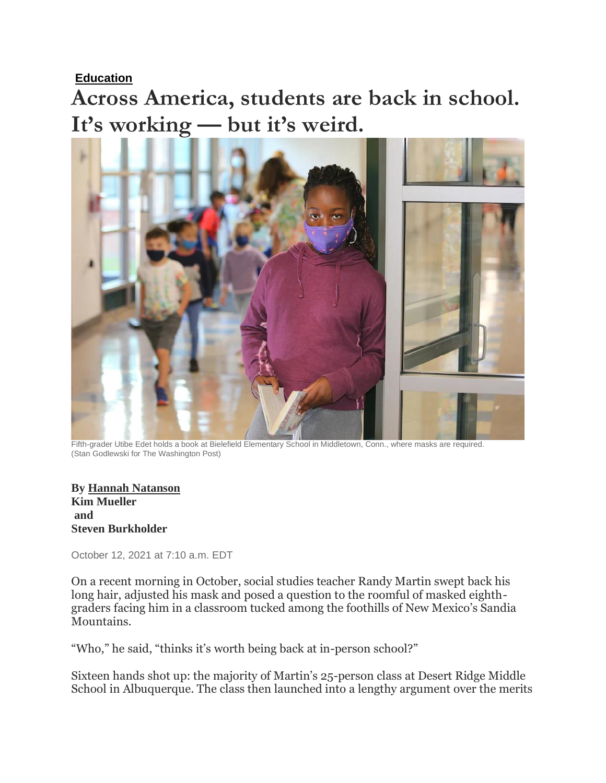**[Education](https://www.washingtonpost.com/local/education/)**

**Across America, students are back in school. It's working — but it's weird.**



Fifth-grader Utibe Edet holds a book at Bielefield Elementary School in Middletown, Conn., where masks are required. (Stan Godlewski for The Washington Post)

**By Hannah [Natanson](https://www.washingtonpost.com/people/hannah-natanson/) Kim Mueller and Steven Burkholder**

October 12, 2021 at 7:10 a.m. EDT

On a recent morning in October, social studies teacher Randy Martin swept back his long hair, adjusted his mask and posed a question to the roomful of masked eighthgraders facing him in a classroom tucked among the foothills of New Mexico's Sandia Mountains.

"Who," he said, "thinks it's worth being back at in-person school?"

Sixteen hands shot up: the majority of Martin's 25-person class at Desert Ridge Middle School in Albuquerque. The class then launched into a lengthy argument over the merits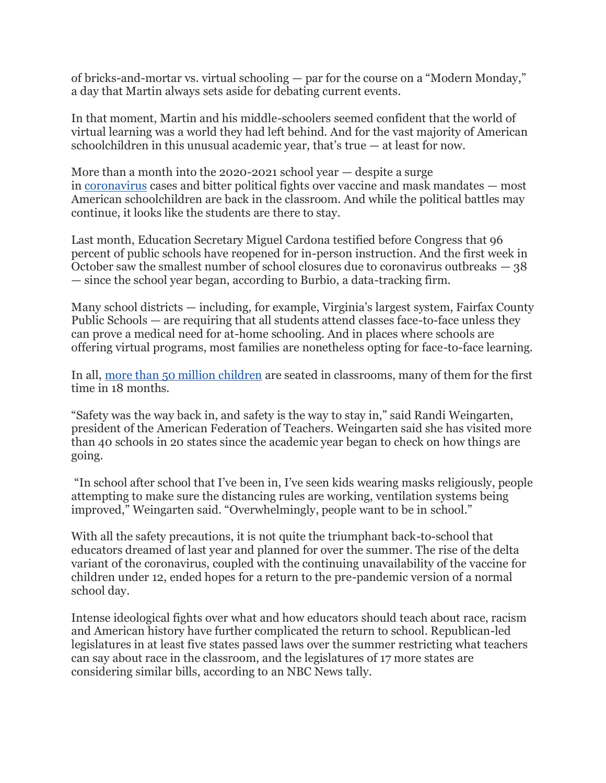of bricks-and-mortar vs. virtual schooling — par for the course on a "Modern Monday," a day that Martin always sets aside for debating current events.

In that moment, Martin and his middle-schoolers seemed confident that the world of virtual learning was a world they had left behind. And for the vast majority of American schoolchildren in this unusual academic year, that's true — at least for now.

More than a month into the 2020-2021 school year  $-$  despite a surge in [coronavirus](https://www.washingtonpost.com/coronavirus/?itid=lk_inline_manual_10) cases and bitter political fights over vaccine and mask mandates — most American schoolchildren are back in the classroom. And while the political battles may continue, it looks like the students are there to stay.

Last month, Education Secretary Miguel Cardona testified before Congress that 96 percent of public schools have reopened for in-person instruction. And the first week in October saw the smallest number of school closures due to coronavirus outbreaks  $-38$ — since the school year began, according to Burbio, a data-tracking firm.

Many school districts — including, for example, Virginia's largest system, Fairfax County Public Schools — are requiring that all students attend classes face-to-face unless they can prove a medical need for at-home schooling. And in places where schools are offering virtual programs, most families are nonetheless opting for face-to-face learning.

In all, more than 50 [million children](https://www.washingtonpost.com/health/2021/09/13/school-reopenings-delta-testing-biden/?itid=lk_inline_manual_11) are seated in classrooms, many of them for the first time in 18 months.

"Safety was the way back in, and safety is the way to stay in," said Randi Weingarten, president of the American Federation of Teachers. Weingarten said she has visited more than 40 schools in 20 states since the academic year began to check on how things are going.

"In school after school that I've been in, I've seen kids wearing masks religiously, people attempting to make sure the distancing rules are working, ventilation systems being improved," Weingarten said. "Overwhelmingly, people want to be in school."

With all the safety precautions, it is not quite the triumphant back-to-school that educators dreamed of last year and planned for over the summer. The rise of the delta variant of the coronavirus, coupled with the continuing unavailability of the vaccine for children under 12, ended hopes for a return to the pre-pandemic version of a normal school day.

Intense ideological fights over what and how educators should teach about race, racism and American history have further complicated the return to school. Republican-led legislatures in at least five states passed laws over the summer restricting what teachers can say about race in the classroom, and the legislatures of 17 more states are considering similar bills, according to an NBC News tally.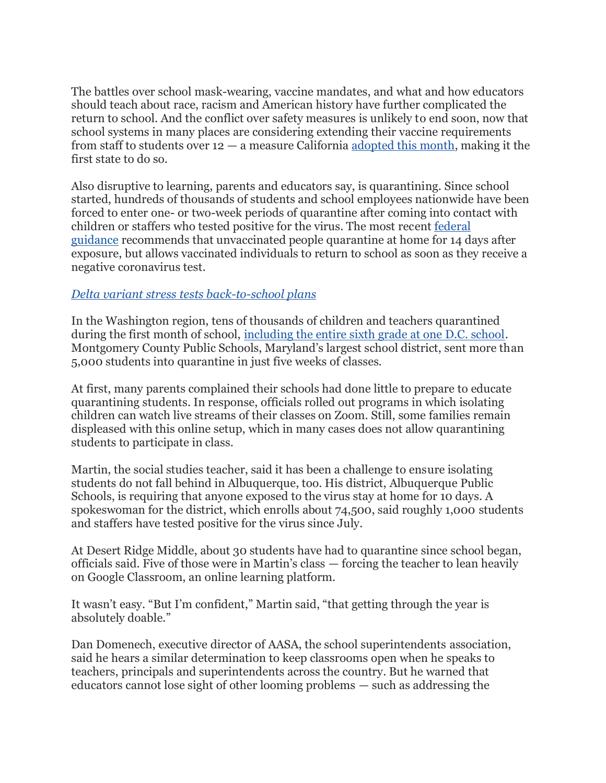The battles over school mask-wearing, vaccine mandates, and what and how educators should teach about race, racism and American history have further complicated the return to school. And the conflict over safety measures is unlikely to end soon, now that school systems in many places are considering extending their vaccine requirements from staff to students over  $12 - a$  measure California <u>adopted this month</u>, making it the first state to do so.

Also disruptive to learning, parents and educators say, is quarantining. Since school started, hundreds of thousands of students and school employees nationwide have been forced to enter one- or two-week periods of quarantine after coming into contact with children or staffers who tested positive for the virus. The most recent [federal](https://www.cdc.gov/coronavirus/2019-ncov/community/schools-childcare/k-12-guidance.html#contact-tracing)  [guidance](https://www.cdc.gov/coronavirus/2019-ncov/community/schools-childcare/k-12-guidance.html#contact-tracing) recommends that unvaccinated people quarantine at home for 14 days after exposure, but allows vaccinated individuals to return to school as soon as they receive a negative coronavirus test.

## *[Delta variant stress tests back-to-school plans](https://www.washingtonpost.com/health/2021/09/13/school-reopenings-delta-testing-biden/?itid=lk_interstitial_manual_23)*

In the Washington region, tens of thousands of children and teachers quarantined during the first month of school, [including the entire sixth grade at one D.C. school.](https://www.washingtonpost.com/local/education/school-quarantines-dc-md-va-covid/2021/09/11/5704990a-117f-11ec-882f-2dd15a067dc4_story.html?itid=ap_donnast.%20george&itid=lk_inline_manual_24) Montgomery County Public Schools, Maryland's largest school district, sent more than 5,000 students into quarantine in just five weeks of classes.

At first, many parents complained their schools had done little to prepare to educate quarantining students. In response, officials rolled out programs in which isolating children can watch live streams of their classes on Zoom. Still, some families remain displeased with this online setup, which in many cases does not allow quarantining students to participate in class.

Martin, the social studies teacher, said it has been a challenge to ensure isolating students do not fall behind in Albuquerque, too. His district, Albuquerque Public Schools, is requiring that anyone exposed to the virus stay at home for 10 days. A spokeswoman for the district, which enrolls about 74,500, said roughly 1,000 students and staffers have tested positive for the virus since July.

At Desert Ridge Middle, about 30 students have had to quarantine since school began, officials said. Five of those were in Martin's class — forcing the teacher to lean heavily on Google Classroom, an online learning platform.

It wasn't easy. "But I'm confident," Martin said, "that getting through the year is absolutely doable."

Dan Domenech, executive director of AASA, the school superintendents association, said he hears a similar determination to keep classrooms open when he speaks to teachers, principals and superintendents across the country. But he warned that educators cannot lose sight of other looming problems — such as addressing the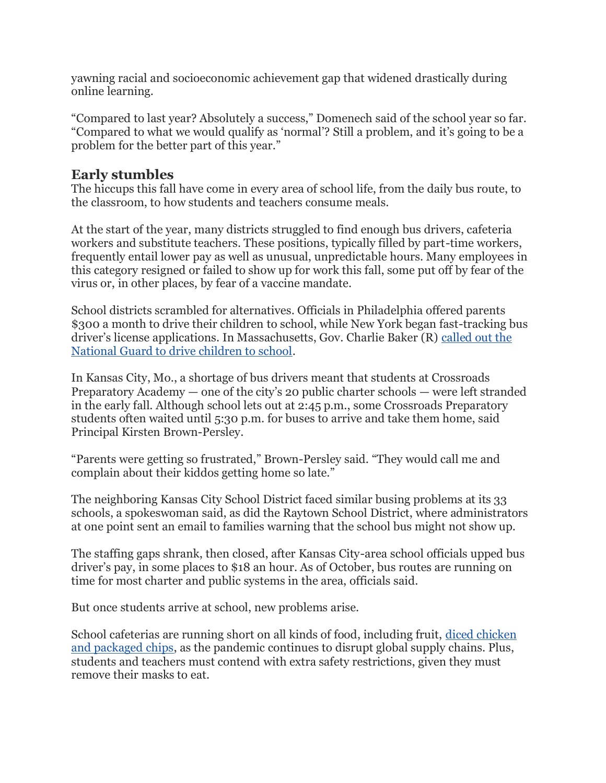yawning racial and socioeconomic achievement gap that widened drastically during online learning.

"Compared to last year? Absolutely a success," Domenech said of the school year so far. "Compared to what we would qualify as 'normal'? Still a problem, and it's going to be a problem for the better part of this year."

## **Early stumbles**

The hiccups this fall have come in every area of school life, from the daily bus route, to the classroom, to how students and teachers consume meals.

At the start of the year, many districts struggled to find enough bus drivers, cafeteria workers and substitute teachers. These positions, typically filled by part-time workers, frequently entail lower pay as well as unusual, unpredictable hours. Many employees in this category resigned or failed to show up for work this fall, some put off by fear of the virus or, in other places, by fear of a vaccine mandate.

School districts scrambled for alternatives. Officials in Philadelphia offered parents \$300 a month to drive their children to school, while New York began fast-tracking bus driver's license applications. In Massachusetts, Gov. Charlie Baker (R) [called out the](https://www.washingtonpost.com/nation/2021/10/07/school-bus-shortage-massachusetts-national-guard/?itid=lk_inline_manual_40)  [National Guard to drive children to school.](https://www.washingtonpost.com/nation/2021/10/07/school-bus-shortage-massachusetts-national-guard/?itid=lk_inline_manual_40)

In Kansas City, Mo., a shortage of bus drivers meant that students at Crossroads Preparatory Academy — one of the city's 20 public charter schools — were left stranded in the early fall. Although school lets out at 2:45 p.m., some Crossroads Preparatory students often waited until 5:30 p.m. for buses to arrive and take them home, said Principal Kirsten Brown-Persley.

"Parents were getting so frustrated," Brown-Persley said. "They would call me and complain about their kiddos getting home so late."

The neighboring Kansas City School District faced similar busing problems at its 33 schools, a spokeswoman said, as did the Raytown School District, where administrators at one point sent an email to families warning that the school bus might not show up.

The staffing gaps shrank, then closed, after Kansas City-area school officials upped bus driver's pay, in some places to \$18 an hour. As of October, bus routes are running on time for most charter and public systems in the area, officials said.

But once students arrive at school, new problems arise.

School cafeterias are running short on all kinds of food, including fruit, [diced chicken](https://www.aldailynews.com/alabama-schools-battling-food-shortages-amid-pandemic/)  [and packaged chips,](https://www.aldailynews.com/alabama-schools-battling-food-shortages-amid-pandemic/) as the pandemic continues to disrupt global supply chains. Plus, students and teachers must contend with extra safety restrictions, given they must remove their masks to eat.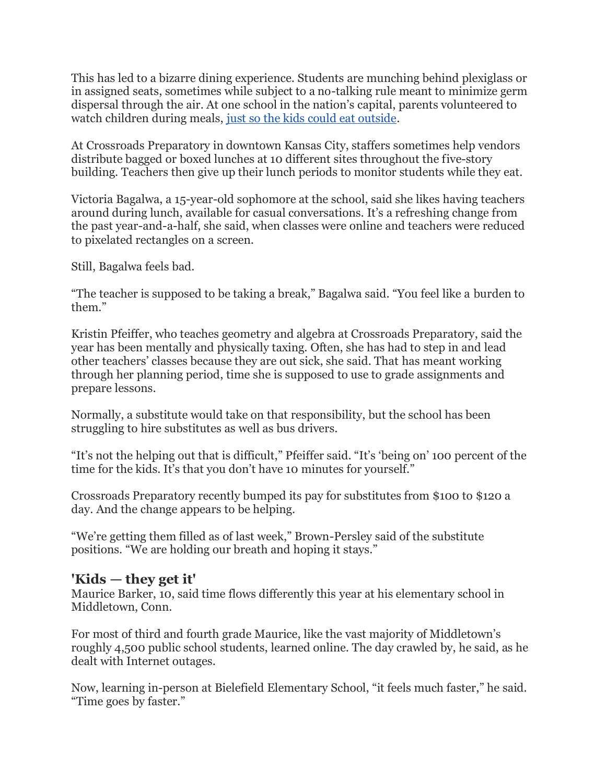This has led to a bizarre dining experience. Students are munching behind plexiglass or in assigned seats, sometimes while subject to a no-talking rule meant to minimize germ dispersal through the air. At one school in the nation's capital, parents volunteered to watch children during meals, [just so the kids could eat outside.](https://www.washingtonpost.com/local/education/school-lunch-distance-outdoors/2021/09/12/74ad0ed6-10eb-11ec-882f-2dd15a067dc4_story.html?itid=lk_inline_manual_51)

At Crossroads Preparatory in downtown Kansas City, staffers sometimes help vendors distribute bagged or boxed lunches at 10 different sites throughout the five-story building. Teachers then give up their lunch periods to monitor students while they eat.

Victoria Bagalwa, a 15-year-old sophomore at the school, said she likes having teachers around during lunch, available for casual conversations. It's a refreshing change from the past year-and-a-half, she said, when classes were online and teachers were reduced to pixelated rectangles on a screen.

Still, Bagalwa feels bad.

"The teacher is supposed to be taking a break," Bagalwa said. "You feel like a burden to them."

Kristin Pfeiffer, who teaches geometry and algebra at Crossroads Preparatory, said the year has been mentally and physically taxing. Often, she has had to step in and lead other teachers' classes because they are out sick, she said. That has meant working through her planning period, time she is supposed to use to grade assignments and prepare lessons.

Normally, a substitute would take on that responsibility, but the school has been struggling to hire substitutes as well as bus drivers.

"It's not the helping out that is difficult," Pfeiffer said. "It's 'being on' 100 percent of the time for the kids. It's that you don't have 10 minutes for yourself."

Crossroads Preparatory recently bumped its pay for substitutes from \$100 to \$120 a day. And the change appears to be helping.

"We're getting them filled as of last week," Brown-Persley said of the substitute positions. "We are holding our breath and hoping it stays."

## **'Kids — they get it'**

Maurice Barker, 10, said time flows differently this year at his elementary school in Middletown, Conn.

For most of third and fourth grade Maurice, like the vast majority of Middletown's roughly 4,500 public school students, learned online. The day crawled by, he said, as he dealt with Internet outages.

Now, learning in-person at Bielefield Elementary School, "it feels much faster," he said. "Time goes by faster."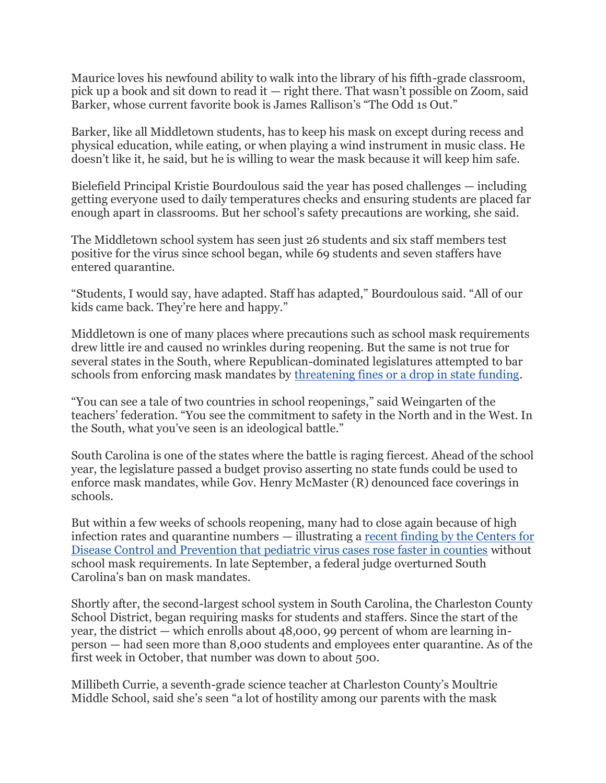Maurice loves his newfound ability to walk into the library of his fifth-grade classroom, pick up a book and sit down to read it — right there. That wasn't possible on Zoom, said Barker, whose current favorite book is James Rallison's "The Odd 1s Out."

Barker, like all Middletown students, has to keep his mask on except during recess and physical education, while eating, or when playing a wind instrument in music class. He doesn't like it, he said, but he is willing to wear the mask because it will keep him safe.

Bielefield Principal Kristie Bourdoulous said the year has posed challenges — including getting everyone used to daily temperatures checks and ensuring students are placed far enough apart in classrooms. But her school's safety precautions are working, she said.

The Middletown school system has seen just 26 students and six staff members test positive for the virus since school began, while 69 students and seven staffers have entered quarantine.

"Students, I would say, have adapted. Staff has adapted," Bourdoulous said. "All of our kids came back. They're here and happy."

Middletown is one of many places where precautions such as school mask requirements drew little ire and caused no wrinkles during reopening. But the same is not true for several states in the South, where Republican-dominated legislatures attempted to bar schools from enforcing mask mandates by [threatening fines or a drop in state funding.](https://www.washingtonpost.com/education/2021/07/29/school-masks-coronavirus/?itid=lk_inline_manual_73)

"You can see a tale of two countries in school reopenings," said Weingarten of the teachers' federation. "You see the commitment to safety in the North and in the West. In the South, what you've seen is an ideological battle."

South Carolina is one of the states where the battle is raging fiercest. Ahead of the school year, the legislature passed a budget proviso asserting no state funds could be used to enforce mask mandates, while Gov. Henry McMaster (R) denounced face coverings in schools.

But within a few weeks of schools reopening, many had to close again because of high infection rates and quarantine numbers — illustrating a [recent finding by the Centers for](https://www.washingtonpost.com/education/2021/09/24/school-masks-cdc-studies/?itid=lk_inline_manual_77)  [Disease Control and Prevention that pediatric virus cases rose faster in counties](https://www.washingtonpost.com/education/2021/09/24/school-masks-cdc-studies/?itid=lk_inline_manual_77) without school mask requirements. In late September, a federal judge overturned South Carolina's ban on mask mandates.

Shortly after, the second-largest school system in South Carolina, the Charleston County School District, began requiring masks for students and staffers. Since the start of the year, the district — which enrolls about 48,000, 99 percent of whom are learning inperson — had seen more than 8,000 students and employees enter quarantine. As of the first week in October, that number was down to about 500.

Millibeth Currie, a seventh-grade science teacher at Charleston County's Moultrie Middle School, said she's seen "a lot of hostility among our parents with the mask